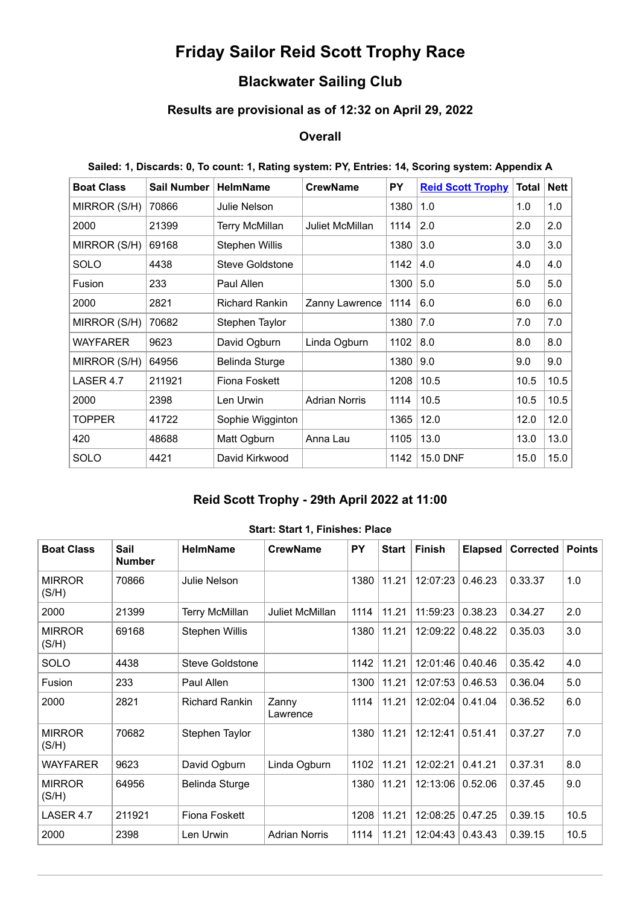# **Friday Sailor Reid Scott Trophy Race**

# **Blackwater Sailing Club**

## **Results are provisional as of 12:32 on April 29, 2022**

### **Overall**

### **Sailed: 1, Discards: 0, To count: 1, Rating system: PY, Entries: 14, Scoring system: Appendix A**

| <b>Boat Class</b> | <b>Sail Number</b> | <b>HelmName</b>        | <b>CrewName</b>      | <b>PY</b> | <b>Reid Scott Trophy</b> | <b>Total</b> | <b>Nett</b> |
|-------------------|--------------------|------------------------|----------------------|-----------|--------------------------|--------------|-------------|
| MIRROR (S/H)      | 70866              | Julie Nelson           |                      | 1380      | 1.0                      | 1.0          | 1.0         |
| 2000              | 21399              | <b>Terry McMillan</b>  | Juliet McMillan      | 1114      | 2.0                      | 2.0          | 2.0         |
| MIRROR (S/H)      | 69168              | <b>Stephen Willis</b>  |                      | 1380      | 3.0                      | 3.0          | 3.0         |
| SOLO              | 4438               | <b>Steve Goldstone</b> |                      | 1142      | 4.0                      | 4.0          | 4.0         |
| Fusion            | 233                | Paul Allen             |                      | 1300      | 5.0                      | 5.0          | 5.0         |
| 2000              | 2821               | <b>Richard Rankin</b>  | Zanny Lawrence       | 1114      | 6.0                      | 6.0          | 6.0         |
| MIRROR (S/H)      | 70682              | Stephen Taylor         |                      | 1380      | 7.0                      | 7.0          | 7.0         |
| <b>WAYFARER</b>   | 9623               | David Ogburn           | Linda Ogburn         | 1102      | 8.0                      | 8.0          | 8.0         |
| MIRROR (S/H)      | 64956              | Belinda Sturge         |                      | 1380      | 9.0                      | 9.0          | 9.0         |
| LASER 4.7         | 211921             | Fiona Foskett          |                      | 1208      | 10.5                     | 10.5         | 10.5        |
| 2000              | 2398               | Len Urwin              | <b>Adrian Norris</b> | 1114      | 10.5                     | 10.5         | 10.5        |
| <b>TOPPER</b>     | 41722              | Sophie Wigginton       |                      | 1365      | 12.0                     | 12.0         | 12.0        |
| 420               | 48688              | Matt Ogburn            | Anna Lau             | 1105      | 13.0                     | 13.0         | 13.0        |
| SOLO              | 4421               | David Kirkwood         |                      | 1142      | 15.0 DNF                 | 15.0         | 15.0        |

## **Reid Scott Trophy - 29th April 2022 at 11:00**

### **Start: Start 1, Finishes: Place**

<span id="page-0-0"></span>

| <b>Boat Class</b>      | Sail<br><b>Number</b> | <b>HelmName</b>        | <b>CrewName</b>      | <b>PY</b> | <b>Start</b> | <b>Finish</b> | <b>Elapsed</b> | <b>Corrected</b> | <b>Points</b> |
|------------------------|-----------------------|------------------------|----------------------|-----------|--------------|---------------|----------------|------------------|---------------|
| <b>MIRROR</b><br>(S/H) | 70866                 | Julie Nelson           |                      | 1380      | 11.21        | 12:07:23      | 0.46.23        | 0.33.37          | 1.0           |
| 2000                   | 21399                 | <b>Terry McMillan</b>  | Juliet McMillan      | 1114      | 11.21        | 11:59:23      | 0.38.23        | 0.34.27          | 2.0           |
| <b>MIRROR</b><br>(S/H) | 69168                 | <b>Stephen Willis</b>  |                      | 1380      | 11.21        | 12:09:22      | 0.48.22        | 0.35.03          | 3.0           |
| <b>SOLO</b>            | 4438                  | <b>Steve Goldstone</b> |                      | 1142      | 11.21        | 12:01:46      | 0.40.46        | 0.35.42          | 4.0           |
| Fusion                 | 233                   | Paul Allen             |                      | 1300      | 11.21        | 12:07:53      | 0.46.53        | 0.36.04          | 5.0           |
| 2000                   | 2821                  | <b>Richard Rankin</b>  | Zanny<br>Lawrence    | 1114      | 11.21        | 12:02:04      | 0.41.04        | 0.36.52          | 6.0           |
| <b>MIRROR</b><br>(S/H) | 70682                 | Stephen Taylor         |                      | 1380      | 11.21        | 12:12:41      | 0.51.41        | 0.37.27          | 7.0           |
| <b>WAYFARER</b>        | 9623                  | David Ogburn           | Linda Ogburn         | 1102      | 11.21        | 12:02:21      | 0.41.21        | 0.37.31          | 8.0           |
| <b>MIRROR</b><br>(S/H) | 64956                 | Belinda Sturge         |                      | 1380      | 11.21        | 12:13:06      | 0.52.06        | 0.37.45          | 9.0           |
| LASER 4.7              | 211921                | <b>Fiona Foskett</b>   |                      | 1208      | 11.21        | 12:08:25      | 0.47.25        | 0.39.15          | 10.5          |
| 2000                   | 2398                  | Len Urwin              | <b>Adrian Norris</b> | 1114      | 11.21        | 12:04:43      | 0.43.43        | 0.39.15          | 10.5          |